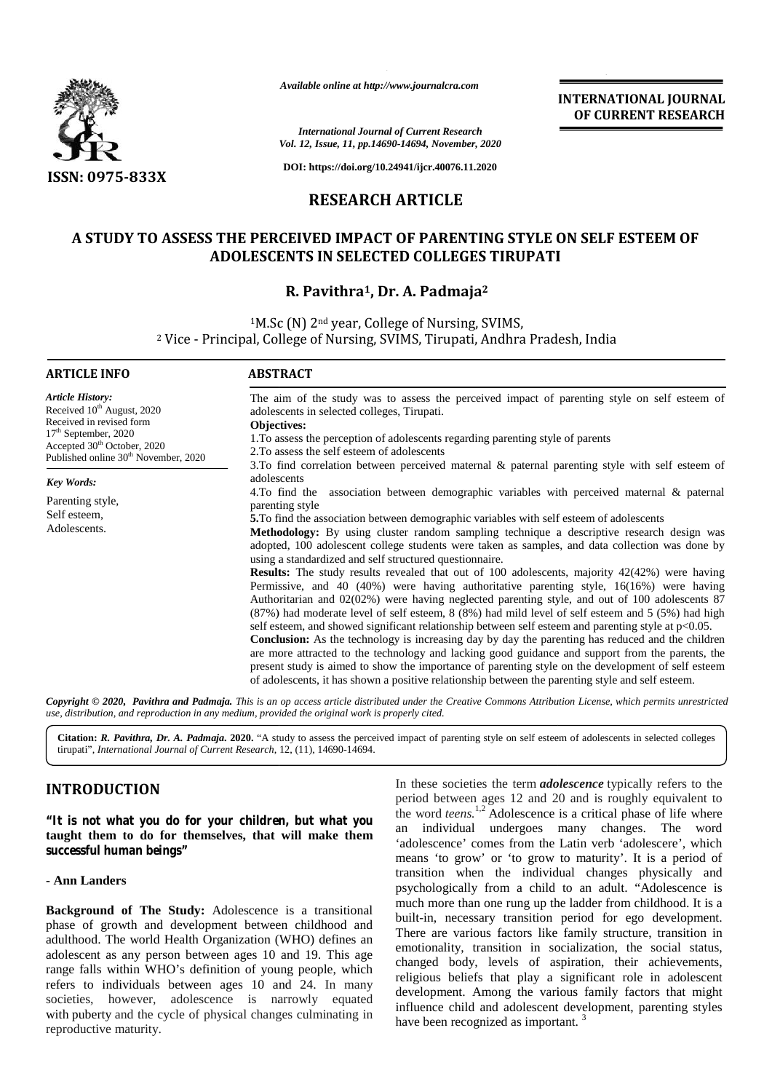

*Available online at http://www.journalcra.com*

#### **RESEARCH ARTICLE**

# **A STUDY TO ASSESS THE PERCEIVED IMPACT OF PARENTING STYLE ON SELF ESTEEM OF PERCEIVED IMPACT PARENTING STYLE**  ADOLESCENTS IN SELECTED COLLEGES TIRUPATI<br>R. Pavithra<sup>1</sup>, Dr. A. Padmaja<sup>2</sup>

#### **R. Pavithra1, Dr. A. Padmaja<sup>2</sup>**

|                                                                                                                     | Available online at http://www.journalcra.com                                                                                                              |                                                                                                        |                                                                                                                                                                                                                 |  |  |
|---------------------------------------------------------------------------------------------------------------------|------------------------------------------------------------------------------------------------------------------------------------------------------------|--------------------------------------------------------------------------------------------------------|-----------------------------------------------------------------------------------------------------------------------------------------------------------------------------------------------------------------|--|--|
|                                                                                                                     |                                                                                                                                                            |                                                                                                        | <b>INTERNATIONAL JOURNAL</b><br>OF CURRENT RESEARCH                                                                                                                                                             |  |  |
|                                                                                                                     |                                                                                                                                                            | <b>International Journal of Current Research</b><br>Vol. 12, Issue, 11, pp.14690-14694, November, 2020 |                                                                                                                                                                                                                 |  |  |
| <b>ISSN: 0975-833X</b>                                                                                              |                                                                                                                                                            | DOI: https://doi.org/10.24941/ijcr.40076.11.2020                                                       |                                                                                                                                                                                                                 |  |  |
|                                                                                                                     |                                                                                                                                                            | <b>RESEARCH ARTICLE</b>                                                                                |                                                                                                                                                                                                                 |  |  |
|                                                                                                                     |                                                                                                                                                            |                                                                                                        | A STUDY TO ASSESS THE PERCEIVED IMPACT OF PARENTING STYLE ON SELF ESTEEM OF                                                                                                                                     |  |  |
|                                                                                                                     | <b>ADOLESCENTS IN SELECTED COLLEGES TIRUPATI</b>                                                                                                           |                                                                                                        |                                                                                                                                                                                                                 |  |  |
|                                                                                                                     |                                                                                                                                                            | R. Pavithra <sup>1</sup> , Dr. A. Padmaja <sup>2</sup>                                                 |                                                                                                                                                                                                                 |  |  |
|                                                                                                                     | <sup>1</sup> M.Sc (N) 2 <sup>nd</sup> year, College of Nursing, SVIMS,                                                                                     |                                                                                                        |                                                                                                                                                                                                                 |  |  |
|                                                                                                                     | <sup>2</sup> Vice - Principal, College of Nursing, SVIMS, Tirupati, Andhra Pradesh, India                                                                  |                                                                                                        |                                                                                                                                                                                                                 |  |  |
| <b>ARTICLE INFO</b>                                                                                                 | <b>ABSTRACT</b>                                                                                                                                            |                                                                                                        |                                                                                                                                                                                                                 |  |  |
| <b>Article History:</b><br>Received 10 <sup>th</sup> August, 2020                                                   | adolescents in selected colleges, Tirupati.                                                                                                                |                                                                                                        | The aim of the study was to assess the perceived impact of parenting style on self esteem of                                                                                                                    |  |  |
| Received in revised form<br>17 <sup>th</sup> September, 2020                                                        | Objectives:<br>1. To assess the perception of adolescents regarding parenting style of parents                                                             |                                                                                                        |                                                                                                                                                                                                                 |  |  |
| Accepted 30 <sup>th</sup> October, 2020<br>Published online 30 <sup>th</sup> November, 2020                         | 2. To assess the self esteem of adolescents                                                                                                                |                                                                                                        |                                                                                                                                                                                                                 |  |  |
| <b>Key Words:</b>                                                                                                   | adolescents                                                                                                                                                |                                                                                                        | 3.To find correlation between perceived maternal & paternal parenting style with self esteem of                                                                                                                 |  |  |
| Parenting style,                                                                                                    | 4. To find the<br>parenting style                                                                                                                          |                                                                                                        | association between demographic variables with perceived maternal & paternal                                                                                                                                    |  |  |
| Self esteem,<br>Adolescents.                                                                                        |                                                                                                                                                            |                                                                                                        | 5. To find the association between demographic variables with self esteem of adolescents                                                                                                                        |  |  |
|                                                                                                                     | Methodology: By using cluster random sampling technique a descriptive research design was                                                                  |                                                                                                        |                                                                                                                                                                                                                 |  |  |
|                                                                                                                     | adopted, 100 adolescent college students were taken as samples, and data collection was done by<br>using a standardized and self structured questionnaire. |                                                                                                        |                                                                                                                                                                                                                 |  |  |
|                                                                                                                     |                                                                                                                                                            |                                                                                                        | <b>Results:</b> The study results revealed that out of 100 adolescents, majority 42(42%) were having                                                                                                            |  |  |
|                                                                                                                     |                                                                                                                                                            |                                                                                                        | Permissive, and 40 $(40\%)$ were having authoritative parenting style, $16(16\%)$ were having<br>Authoritarian and 02(02%) were having neglected parenting style, and out of 100 adolescents 87                 |  |  |
|                                                                                                                     |                                                                                                                                                            |                                                                                                        | (87%) had moderate level of self esteem, 8 (8%) had mild level of self esteem and 5 (5%) had high                                                                                                               |  |  |
|                                                                                                                     |                                                                                                                                                            |                                                                                                        | self esteem, and showed significant relationship between self esteem and parenting style at p<0.05.<br><b>Conclusion:</b> As the technology is increasing day by day the parenting has reduced and the children |  |  |
|                                                                                                                     |                                                                                                                                                            |                                                                                                        | are more attracted to the technology and lacking good guidance and support from the parents, the                                                                                                                |  |  |
|                                                                                                                     |                                                                                                                                                            |                                                                                                        | present study is aimed to show the importance of parenting style on the development of self esteem<br>of adolescents, it has shown a positive relationship between the parenting style and self esteem.         |  |  |
|                                                                                                                     |                                                                                                                                                            |                                                                                                        | Copyright © 2020, Pavithra and Padmaja. This is an op access article distributed under the Creative Commons Attribution License, which permits unrestricted                                                     |  |  |
| use, distribution, and reproduction in any medium, provided the original work is properly cited.                    |                                                                                                                                                            |                                                                                                        |                                                                                                                                                                                                                 |  |  |
| tirupati", International Journal of Current Research, 12, (11), 14690-14694.                                        |                                                                                                                                                            |                                                                                                        | Citation: R. Pavithra, Dr. A. Padmaja. 2020. "A study to assess the perceived impact of parenting style on self esteem of adolescents in selected colleges                                                      |  |  |
| <b>INTRODUCTION</b>                                                                                                 |                                                                                                                                                            |                                                                                                        | In these societies the term <i>adolescence</i> typically refers to the                                                                                                                                          |  |  |
|                                                                                                                     |                                                                                                                                                            |                                                                                                        | period between ages 12 and 20 and is roughly equivalent to<br>the word <i>teens.</i> <sup>1,2</sup> Adolescence is a critical phase of life where                                                               |  |  |
| "It is not what you do for your children, but what you<br>taught them to do for themselves, that will make them     |                                                                                                                                                            |                                                                                                        | an individual undergoes many changes. The word                                                                                                                                                                  |  |  |
| successful human beings"                                                                                            |                                                                                                                                                            |                                                                                                        | 'adolescence' comes from the Latin verb 'adolescere', which<br>means 'to grow' or 'to grow to maturity'. It is a period of                                                                                      |  |  |
| - Ann Landers                                                                                                       |                                                                                                                                                            |                                                                                                        | transition when the individual changes physically and                                                                                                                                                           |  |  |
| <b>Background of The Study:</b> Adolescence is a transitional                                                       |                                                                                                                                                            |                                                                                                        | psychologically from a child to an adult. "Adolescence is<br>much more than one rung up the ladder from childhood. It is a                                                                                      |  |  |
| phase of growth and development between childhood and                                                               |                                                                                                                                                            |                                                                                                        | built-in, necessary transition period for ego development.                                                                                                                                                      |  |  |
| adulthood. The world Health Organization (WHO) defines an                                                           |                                                                                                                                                            |                                                                                                        | There are various factors like family structure, transition in<br>emotionality, transition in socialization, the social status,                                                                                 |  |  |
| adolescent as any person between ages 10 and 19. This age                                                           |                                                                                                                                                            |                                                                                                        | changed body, levels of aspiration, their achievements,                                                                                                                                                         |  |  |
| range falls within WHO's definition of young people, which<br>refers to individuals between ages 10 and 24. In many |                                                                                                                                                            |                                                                                                        | religious beliefs that play a significant role in adolescent                                                                                                                                                    |  |  |
| societies, however, adolescence is narrowly equated                                                                 |                                                                                                                                                            |                                                                                                        | development. Among the various family factors that might                                                                                                                                                        |  |  |
| with puberty and the cycle of physical changes culminating in                                                       |                                                                                                                                                            | have been recognized as important. <sup>3</sup>                                                        | influence child and adolescent development, parenting styles                                                                                                                                                    |  |  |

## **INTRODUCTION INTRODUCTION**

#### **- Ann Landers**

**Background of The Study:** Adolescence is a transitional phase of growth and development between childhood and adulthood. The world Health Organization (WHO) defines an adolescent as any person between ages 10 and 19. This age range falls within WHO's definition of young people, which  $\frac{\text{chain}}{\text{value}}$ refers to individuals between ages 10 and 24. In many societies, however, adolescence is narrowly equated with puberty and the cycle of physical changes culminating in reproductive maturity. **- Ann Landers**<br>**Background of The Study:** Adolescence is a transitional<br>phase of growth and development between childhood and<br>adulthood. The world Health Organization (WHO) defines an<br>adolescent as any person between ages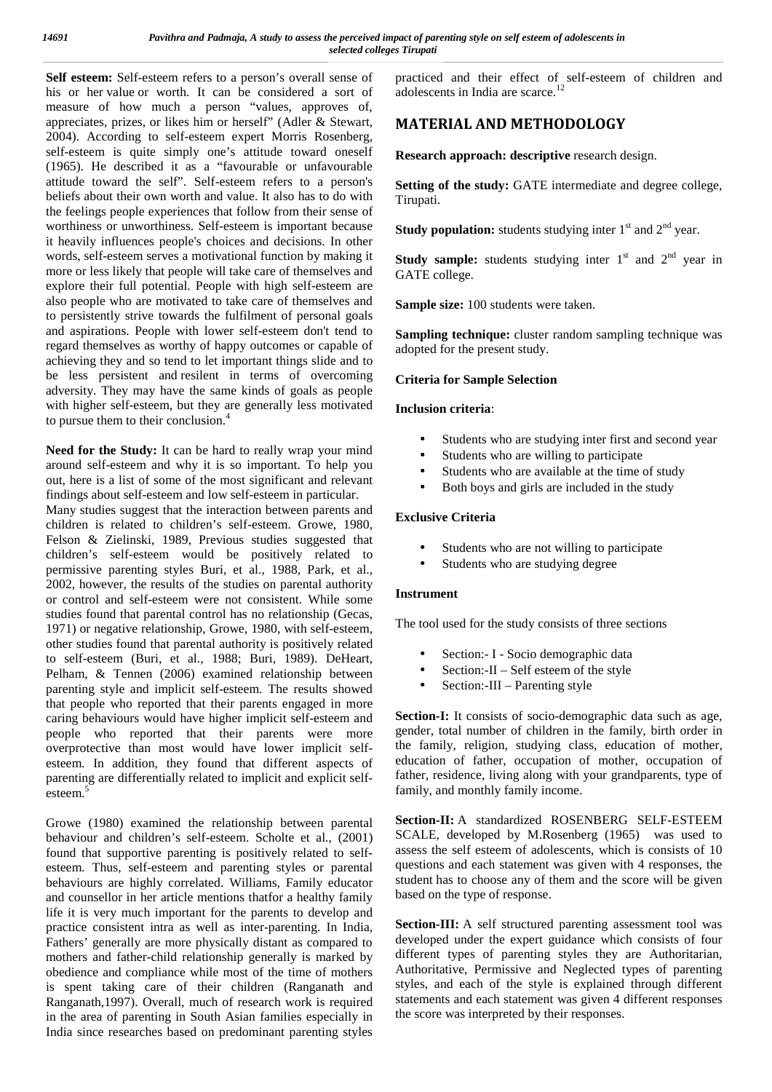**Self esteem:** Self-esteem refers to a person's overall sense of his or her value or worth. It can be considered a sort of measure of how much a person "values, approves of, appreciates, prizes, or likes him or herself" (Adler & Stewart, 2004). According to self-esteem expert Morris Rosenberg, self-esteem is quite simply one's attitude toward oneself (1965). He described it as a "favourable or unfavourable attitude toward the self". Self-esteem refers to a person's beliefs about their own worth and value. It also has to do with the feelings people experiences that follow from their sense of worthiness or unworthiness. Self-esteem is important because it heavily influences people's choices and decisions. In other words, self-esteem serves a motivational function by making it more or less likely that people will take care of themselves and explore their full potential. People with high self-esteem are also people who are motivated to take care of themselves and to persistently strive towards the fulfilment of personal goals and aspirations. People with lower self-esteem don't tend to regard themselves as worthy of happy outcomes or capable of achieving they and so tend to let important things slide and to be less persistent and resilent in terms of overcoming adversity. They may have the same kinds of goals as people with higher self-esteem, but they are generally less motivated to pursue them to their conclusion.<sup>4</sup>

**Need for the Study:** It can be hard to really wrap your mind around self-esteem and why it is so important. To help you out, here is a list of some of the most significant and relevant findings about self-esteem and low self-esteem in particular.

Many studies suggest that the interaction between parents and children is related to children's self-esteem. Growe, 1980, Felson & Zielinski, 1989, Previous studies suggested that children's self-esteem would be positively related to permissive parenting styles Buri, et al., 1988, Park, et al., 2002, however, the results of the studies on parental authority or control and self-esteem were not consistent. While some studies found that parental control has no relationship (Gecas, 1971) or negative relationship, Growe, 1980, with self-esteem, other studies found that parental authority is positively related to self-esteem (Buri, et al., 1988; Buri, 1989). DeHeart, Pelham, & Tennen (2006) examined relationship between parenting style and implicit self-esteem. The results showed that people who reported that their parents engaged in more caring behaviours would have higher implicit self-esteem and people who reported that their parents were more overprotective than most would have lower implicit self esteem. In addition, they found that different aspects of parenting are differentially related to implicit and explicit self esteem.<sup>5</sup>

Growe (1980) examined the relationship between parental behaviour and children's self-esteem. Scholte et al., (2001) found that supportive parenting is positively related to self esteem. Thus, self-esteem and parenting styles or parental behaviours are highly correlated. Williams, Family educator and counsellor in her article mentions thatfor a healthy family life it is very much important for the parents to develop and practice consistent intra as well as inter-parenting. In India, Fathers' generally are more physically distant as compared to mothers and father-child relationship generally is marked by obedience and compliance while most of the time of mothers is spent taking care of their children (Ranganath and Ranganath,1997). Overall, much of research work is required in the area of parenting in South Asian families especially in India since researches based on predominant parenting styles

practiced and their effect of self-esteem of children and adolescents in India are scarce.<sup>12</sup>

## **MATERIAL AND METHODOLOGY**

**Research approach: descriptive** research design.

**Setting of the study:** GATE intermediate and degree college, Tirupati.

**Study population:** students studying inter  $1<sup>st</sup>$  and  $2<sup>nd</sup>$  year.

**Study sample:** students studying inter  $1<sup>st</sup>$  and  $2<sup>nd</sup>$  year in GATE college.

**Sample size:** 100 students were taken.

**Sampling technique:** cluster random sampling technique was adopted for the present study.

#### **Criteria for Sample Selection**

## **Inclusion criteria**:

- Students who are studying inter first and second year
- Students who are willing to participate
- Students who are available at the time of study
- Both boys and girls are included in the study

## **Exclusive Criteria**

- Students who are not willing to participate
- Students who are studying degree

## **Instrument**

The tool used for the study consists of three sections

- Section:- I Socio demographic data
- Section:-II Self esteem of the style
- Section:-III Parenting style

Section-I: It consists of socio-demographic data such as age, gender, total number of children in the family, birth order in the family, religion, studying class, education of mother, education of father, occupation of mother, occupation of father, residence, living along with your grandparents, type of family, and monthly family income.

**Section-II:** A standardized ROSENBERG SELF-ESTEEM SCALE, developed by M.Rosenberg (1965) was used to assess the self esteem of adolescents, which is consists of 10 questions and each statement was given with 4 responses, the student has to choose any of them and the score will be given based on the type of response.

Section-III: A self structured parenting assessment tool was developed under the expert guidance which consists of four different types of parenting styles they are Authoritarian, Authoritative, Permissive and Neglected types of parenting styles, and each of the style is explained through different statements and each statement was given 4 different responses the score was interpreted by their responses.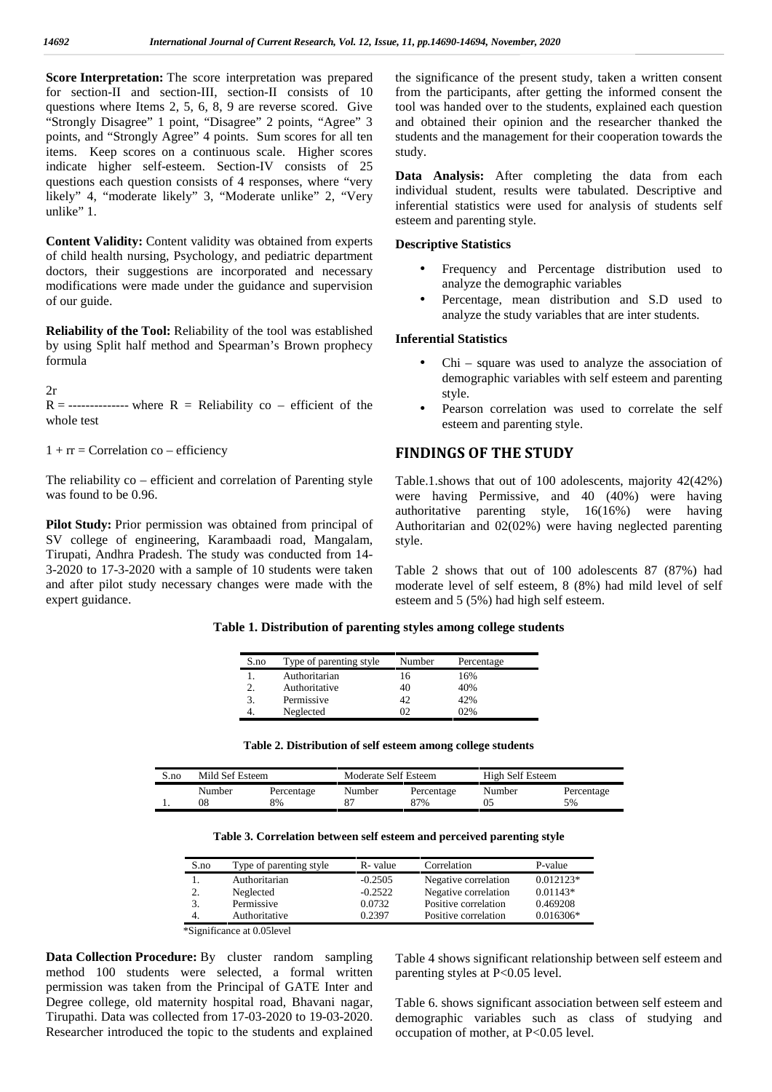**Score Interpretation:** The score interpretation was prepared for section-II and section-III, section-II consists of 10 questions where Items 2, 5, 6, 8, 9 are reverse scored. Give "Strongly Disagree" 1 point, "Disagree" 2 points, "Agree" 3 points, and "Strongly Agree" 4 points. Sum scores for all ten items. Keep scores on a continuous scale. Higher scores indicate higher self-esteem. Section-IV consists of 25 questions each question consists of 4 responses, where "very likely" 4, "moderate likely" 3, "Moderate unlike" 2, "Very unlike" 1.

**Content Validity:** Content validity was obtained from experts of child health nursing, Psychology, and pediatric department doctors, their suggestions are incorporated and necessary modifications were made under the guidance and supervision of our guide.

**Reliability of the Tool:** Reliability of the tool was established by using Split half method and Spearman's Brown prophecy formula

 $2r$ 

 $R =$ --------------- where  $R =$  Reliability co – efficient of the whole test

 $1 + rr = Correlation co - efficiency$ 

The reliability co – efficient and correlation of Parenting style was found to be 0.96.

**Pilot Study:** Prior permission was obtained from principal of SV college of engineering, Karambaadi road, Mangalam, Tirupati, Andhra Pradesh. The study was conducted from 14- 3-2020 to 17-3-2020 with a sample of 10 students were taken and after pilot study necessary changes were made with the expert guidance.

the significance of the present study, taken a written consent from the participants, after getting the informed consent the tool was handed over to the students, explained each question and obtained their opinion and the researcher thanked the students and the management for their cooperation towards the study.

**Data Analysis:** After completing the data from each individual student, results were tabulated. Descriptive and inferential statistics were used for analysis of students self esteem and parenting style.

#### **Descriptive Statistics**

- Frequency and Percentage distribution used to analyze the demographic variables
- Percentage, mean distribution and S.D used to analyze the study variables that are inter students.

#### **Inferential Statistics**

- Chi square was used to analyze the association of demographic variables with self esteem and parenting style.
- Pearson correlation was used to correlate the self esteem and parenting style.

#### **FINDINGS OF THE STUDY**

Table.1.shows that out of 100 adolescents, majority 42(42%) were having Permissive, and 40 (40%) were having authoritative parenting style, 16(16%) were having Authoritarian and 02(02%) were having neglected parenting style.

Table 2 shows that out of 100 adolescents 87 (87%) had moderate level of self esteem, 8 (8%) had mild level of self esteem and 5 (5%) had high self esteem.

| S.no | Type of parenting style | Number | Percentage |
|------|-------------------------|--------|------------|
|      | Authoritarian           | 6      | 16%        |
|      | Authoritative           | 40     | 40%        |
| 3.   | Permissive              | 42     | 42%        |
|      | Neglected               |        | 02%        |

**Table 1. Distribution of parenting styles among college students**

| Table 2. Distribution of self esteem among college students |  |
|-------------------------------------------------------------|--|
|-------------------------------------------------------------|--|

| S.no |        | Mild Sef Esteem<br>High Self Esteem<br>Moderate Self Esteem |        |            |        |            |
|------|--------|-------------------------------------------------------------|--------|------------|--------|------------|
|      | Number | Percentage                                                  | Number | Percentage | Number | Percentage |
|      | 08     | 8%                                                          |        | 87%        |        | 5%         |

| Table 3. Correlation between self esteem and perceived parenting style |  |
|------------------------------------------------------------------------|--|
|                                                                        |  |

| S.no | Type of parenting style | R-value   | Correlation          | P-value     |
|------|-------------------------|-----------|----------------------|-------------|
|      | Authoritarian           | $-0.2505$ | Negative correlation | $0.012123*$ |
| 2.   | Neglected               | $-0.2522$ | Negative correlation | $0.01143*$  |
| 3.   | Permissive              | 0.0732    | Positive correlation | 0.469208    |
| 4.   | Authoritative           | 0.2397    | Positive correlation | $0.016306*$ |

**Data Collection Procedure:** By cluster random sampling method 100 students were selected, a formal written permission was taken from the Principal of GATE Inter and Degree college, old maternity hospital road, Bhavani nagar, Tirupathi. Data was collected from 17-03-2020 to 19-03-2020. Researcher introduced the topic to the students and explained

Table 4 shows significant relationship between self esteem and parenting styles at P<0.05 level.

Table 6. shows significant association between self esteem and demographic variables such as class of studying and occupation of mother, at P<0.05 level.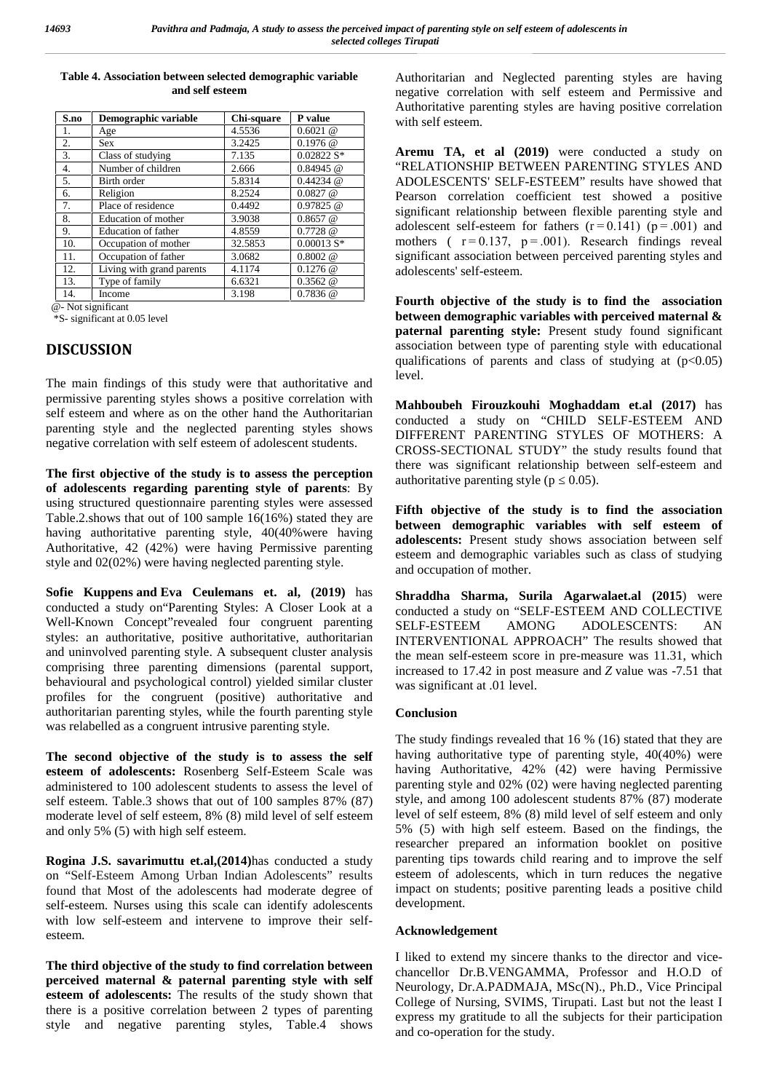| Table 4. Association between selected demographic variable |  |
|------------------------------------------------------------|--|
| and self esteem                                            |  |

| S.no | Demographic variable      | Chi-square | P value       |  |
|------|---------------------------|------------|---------------|--|
| 1.   | Age                       | 4.5536     | $0.6021$ @    |  |
| 2.   | <b>Sex</b>                | 3.2425     | $0.1976$ @    |  |
| 3.   | Class of studying         | 7.135      | $0.02822 S*$  |  |
| 4.   | Number of children        | 2.666      | $0.84945$ @   |  |
| 5.   | Birth order               | 5.8314     | $0.44234 \ @$ |  |
| 6.   | Religion                  | 8.2524     | $0.0827$ @    |  |
| 7.   | Place of residence        | 0.4492     | $0.97825 \ @$ |  |
| 8.   | Education of mother       | 3.9038     | $0.8657$ @    |  |
| 9.   | Education of father       | 4.8559     | 0.7728 @      |  |
| 10.  | Occupation of mother      | 32.5853    | $0.00013 S*$  |  |
| 11.  | Occupation of father      | 3.0682     | $0.8002 \ @$  |  |
| 12.  | Living with grand parents | 4.1174     | $0.1276$ @    |  |
| 13.  | Type of family            | 6.6321     | 0.3562 @      |  |
| 14.  | Income                    | 3.198      | $0.7836$ @    |  |

@- Not significant

\*S- significant at 0.05 level

#### **DISCUSSION**

The main findings of this study were that authoritative and permissive parenting styles shows a positive correlation with self esteem and where as on the other hand the Authoritarian parenting style and the neglected parenting styles shows negative correlation with self esteem of adolescent students.

**The first objective of the study is to assess the perception of adolescents regarding parenting style of parents**: By using structured questionnaire parenting styles were assessed Table.2.shows that out of 100 sample 16(16%) stated they are having authoritative parenting style, 40(40% were having Authoritative, 42 (42%) were having Permissive parenting style and 02(02%) were having neglected parenting style.

**Sofie Kuppens and Eva Ceulemans et. al, (2019)** has conducted a study on"Parenting Styles: A Closer Look at a Well-Known Concept"revealed four congruent parenting SELF-ESTEEM styles: an authoritative, positive authoritative, authoritarian and uninvolved parenting style. A subsequent cluster analysis comprising three parenting dimensions (parental support, behavioural and psychological control) yielded similar cluster profiles for the congruent (positive) authoritative and authoritarian parenting styles, while the fourth parenting style was relabelled as a congruent intrusive parenting style.

**The second objective of the study is to assess the self esteem of adolescents:** Rosenberg Self-Esteem Scale was administered to 100 adolescent students to assess the level of self esteem. Table.3 shows that out of 100 samples 87% (87) moderate level of self esteem, 8% (8) mild level of self esteem and only 5% (5) with high self esteem.

**Rogina J.S. savarimuttu et.al,(2014)**has conducted a study on "Self-Esteem Among Urban Indian Adolescents" results found that Most of the adolescents had moderate degree of self-esteem. Nurses using this scale can identify adolescents with low self-esteem and intervene to improve their self esteem.

**The third objective of the study to find correlation between perceived maternal & paternal parenting style with self esteem of adolescents:** The results of the study shown that there is a positive correlation between 2 types of parenting style and negative parenting styles, Table.4 shows

Authoritarian and Neglected parenting styles are having negative correlation with self esteem and Permissive and Authoritative parenting styles are having positive correlation with self esteem.

**Aremu TA, et al (2019)** were conducted a study on "RELATIONSHIP BETWEEN PARENTING STYLES AND ADOLESCENTS' SELF-ESTEEM" results have showed that Pearson correlation coefficient test showed a positive significant relationship between flexible parenting style and adolescent self-esteem for fathers  $(r=0.141)$   $(p=.001)$  and mothers ( $r = 0.137$ ,  $p = .001$ ). Research findings reveal significant association between perceived parenting styles and adolescents' self-esteem.

**Fourth objective of the study is to find the association between demographic variables with perceived maternal & paternal parenting style:** Present study found significant association between type of parenting style with educational qualifications of parents and class of studying at  $(p<0.05)$ level.

**Mahboubeh Firouzkouhi Moghaddam et.al (2017)** has conducted a study on "CHILD SELF-ESTEEM AND DIFFERENT PARENTING STYLES OF MOTHERS: A CROSS-SECTIONAL STUDY" the study results found that there was significant relationship between self-esteem and authoritative parenting style  $(p \ 0.05)$ .

**Fifth objective of the study is to find the association between demographic variables with self esteem of adolescents:** Present study shows association between self esteem and demographic variables such as class of studying and occupation of mother.

**Shraddha Sharma, Surila Agarwalaet.al (2015**) were conducted a study on "SELF-ESTEEM AND COLLECTIVE AMONG ADOLESCENTS: AN INTERVENTIONAL APPROACH" The results showed that the mean self-esteem score in pre-measure was 11.31, which increased to 17.42 in post measure and *Z* value was -7.51 that was significant at .01 level.

#### **Conclusion**

The study findings revealed that 16 % (16) stated that they are having authoritative type of parenting style, 40(40%) were having Authoritative, 42% (42) were having Permissive parenting style and 02% (02) were having neglected parenting style, and among 100 adolescent students 87% (87) moderate level of self esteem, 8% (8) mild level of self esteem and only 5% (5) with high self esteem. Based on the findings, the researcher prepared an information booklet on positive parenting tips towards child rearing and to improve the self esteem of adolescents, which in turn reduces the negative impact on students; positive parenting leads a positive child development.

#### **Acknowledgement**

I liked to extend my sincere thanks to the director and vice chancellor Dr.B.VENGAMMA, Professor and H.O.D of Neurology, Dr.A.PADMAJA, MSc(N)., Ph.D., Vice Principal College of Nursing, SVIMS, Tirupati. Last but not the least I express my gratitude to all the subjects for their participation and co-operation for the study.